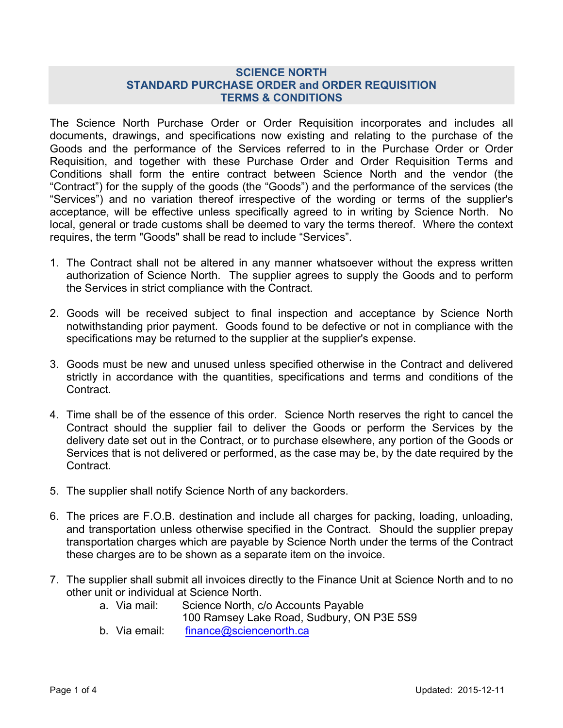## **SCIENCE NORTH STANDARD PURCHASE ORDER and ORDER REQUISITION TERMS & CONDITIONS**

The Science North Purchase Order or Order Requisition incorporates and includes all documents, drawings, and specifications now existing and relating to the purchase of the Goods and the performance of the Services referred to in the Purchase Order or Order Requisition, and together with these Purchase Order and Order Requisition Terms and Conditions shall form the entire contract between Science North and the vendor (the "Contract") for the supply of the goods (the "Goods") and the performance of the services (the "Services") and no variation thereof irrespective of the wording or terms of the supplier's acceptance, will be effective unless specifically agreed to in writing by Science North. No local, general or trade customs shall be deemed to vary the terms thereof. Where the context requires, the term "Goods" shall be read to include "Services".

- 1. The Contract shall not be altered in any manner whatsoever without the express written authorization of Science North. The supplier agrees to supply the Goods and to perform the Services in strict compliance with the Contract.
- 2. Goods will be received subject to final inspection and acceptance by Science North notwithstanding prior payment. Goods found to be defective or not in compliance with the specifications may be returned to the supplier at the supplier's expense.
- 3. Goods must be new and unused unless specified otherwise in the Contract and delivered strictly in accordance with the quantities, specifications and terms and conditions of the Contract.
- 4. Time shall be of the essence of this order. Science North reserves the right to cancel the Contract should the supplier fail to deliver the Goods or perform the Services by the delivery date set out in the Contract, or to purchase elsewhere, any portion of the Goods or Services that is not delivered or performed, as the case may be, by the date required by the Contract.
- 5. The supplier shall notify Science North of any backorders.
- 6. The prices are F.O.B. destination and include all charges for packing, loading, unloading, and transportation unless otherwise specified in the Contract. Should the supplier prepay transportation charges which are payable by Science North under the terms of the Contract these charges are to be shown as a separate item on the invoice.
- 7. The supplier shall submit all invoices directly to the Finance Unit at Science North and to no other unit or individual at Science North.
	- a. Via mail: Science North, c/o Accounts Payable
		- 100 Ramsey Lake Road, Sudbury, ON P3E 5S9
	- b. Via email: finance@sciencenorth.ca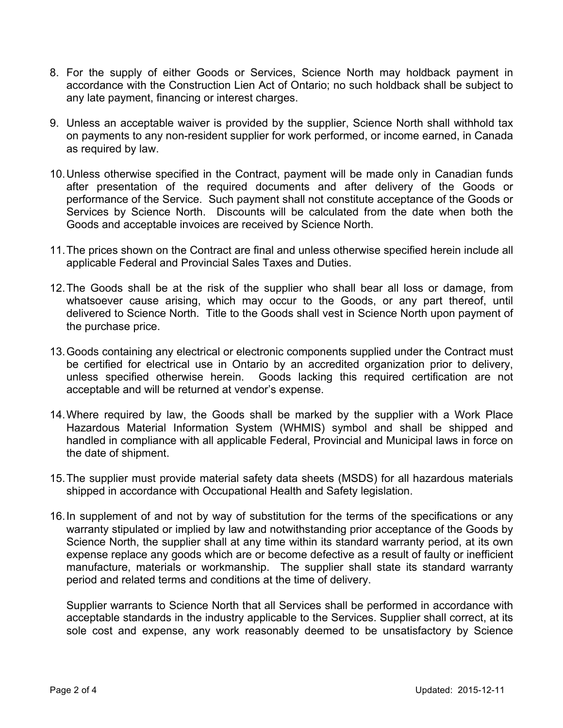- 8. For the supply of either Goods or Services, Science North may holdback payment in accordance with the Construction Lien Act of Ontario; no such holdback shall be subject to any late payment, financing or interest charges.
- 9. Unless an acceptable waiver is provided by the supplier, Science North shall withhold tax on payments to any non-resident supplier for work performed, or income earned, in Canada as required by law.
- 10.Unless otherwise specified in the Contract, payment will be made only in Canadian funds after presentation of the required documents and after delivery of the Goods or performance of the Service. Such payment shall not constitute acceptance of the Goods or Services by Science North. Discounts will be calculated from the date when both the Goods and acceptable invoices are received by Science North.
- 11.The prices shown on the Contract are final and unless otherwise specified herein include all applicable Federal and Provincial Sales Taxes and Duties.
- 12.The Goods shall be at the risk of the supplier who shall bear all loss or damage, from whatsoever cause arising, which may occur to the Goods, or any part thereof, until delivered to Science North. Title to the Goods shall vest in Science North upon payment of the purchase price.
- 13.Goods containing any electrical or electronic components supplied under the Contract must be certified for electrical use in Ontario by an accredited organization prior to delivery, unless specified otherwise herein. Goods lacking this required certification are not acceptable and will be returned at vendor's expense.
- 14.Where required by law, the Goods shall be marked by the supplier with a Work Place Hazardous Material Information System (WHMIS) symbol and shall be shipped and handled in compliance with all applicable Federal, Provincial and Municipal laws in force on the date of shipment.
- 15.The supplier must provide material safety data sheets (MSDS) for all hazardous materials shipped in accordance with Occupational Health and Safety legislation.
- 16.In supplement of and not by way of substitution for the terms of the specifications or any warranty stipulated or implied by law and notwithstanding prior acceptance of the Goods by Science North, the supplier shall at any time within its standard warranty period, at its own expense replace any goods which are or become defective as a result of faulty or inefficient manufacture, materials or workmanship. The supplier shall state its standard warranty period and related terms and conditions at the time of delivery.

Supplier warrants to Science North that all Services shall be performed in accordance with acceptable standards in the industry applicable to the Services. Supplier shall correct, at its sole cost and expense, any work reasonably deemed to be unsatisfactory by Science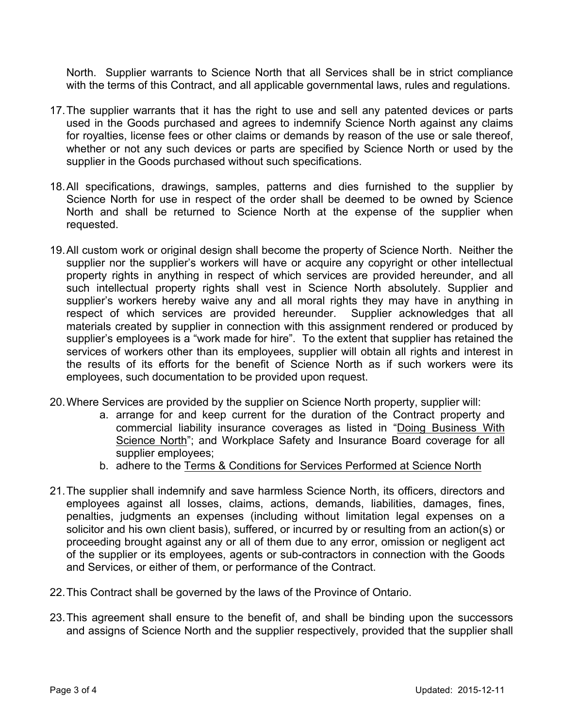North. Supplier warrants to Science North that all Services shall be in strict compliance with the terms of this Contract, and all applicable governmental laws, rules and regulations.

- 17.The supplier warrants that it has the right to use and sell any patented devices or parts used in the Goods purchased and agrees to indemnify Science North against any claims for royalties, license fees or other claims or demands by reason of the use or sale thereof, whether or not any such devices or parts are specified by Science North or used by the supplier in the Goods purchased without such specifications.
- 18.All specifications, drawings, samples, patterns and dies furnished to the supplier by Science North for use in respect of the order shall be deemed to be owned by Science North and shall be returned to Science North at the expense of the supplier when requested.
- 19.All custom work or original design shall become the property of Science North. Neither the supplier nor the supplier's workers will have or acquire any copyright or other intellectual property rights in anything in respect of which services are provided hereunder, and all such intellectual property rights shall vest in Science North absolutely. Supplier and supplier's workers hereby waive any and all moral rights they may have in anything in respect of which services are provided hereunder. Supplier acknowledges that all materials created by supplier in connection with this assignment rendered or produced by supplier's employees is a "work made for hire". To the extent that supplier has retained the services of workers other than its employees, supplier will obtain all rights and interest in the results of its efforts for the benefit of Science North as if such workers were its employees, such documentation to be provided upon request.
- 20.Where Services are provided by the supplier on Science North property, supplier will:
	- a. arrange for and keep current for the duration of the Contract property and commercial liability insurance coverages as listed in "Doing Business With Science North"; and Workplace Safety and Insurance Board coverage for all supplier employees;
	- b. adhere to the Terms & Conditions for Services Performed at Science North
- 21.The supplier shall indemnify and save harmless Science North, its officers, directors and employees against all losses, claims, actions, demands, liabilities, damages, fines, penalties, judgments an expenses (including without limitation legal expenses on a solicitor and his own client basis), suffered, or incurred by or resulting from an action(s) or proceeding brought against any or all of them due to any error, omission or negligent act of the supplier or its employees, agents or sub-contractors in connection with the Goods and Services, or either of them, or performance of the Contract.
- 22.This Contract shall be governed by the laws of the Province of Ontario.
- 23.This agreement shall ensure to the benefit of, and shall be binding upon the successors and assigns of Science North and the supplier respectively, provided that the supplier shall